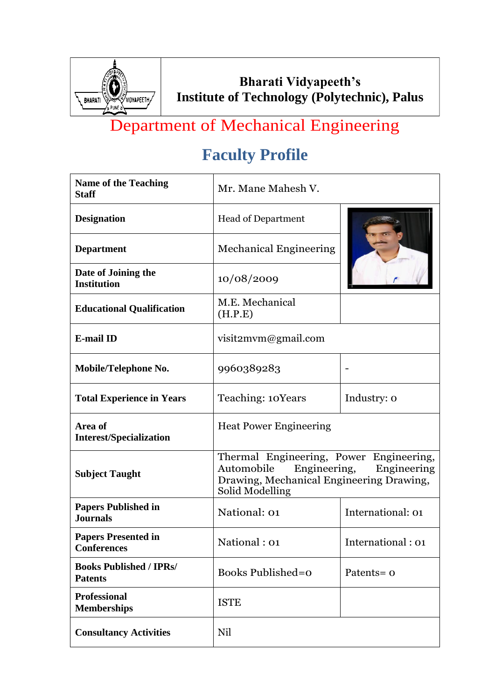

# Department of Mechanical Engineering

| <b>Name of the Teaching</b><br><b>Staff</b>      | Mr. Mane Mahesh V.                                                                                                                                  |                   |
|--------------------------------------------------|-----------------------------------------------------------------------------------------------------------------------------------------------------|-------------------|
| <b>Designation</b>                               | <b>Head of Department</b>                                                                                                                           |                   |
| <b>Department</b>                                | <b>Mechanical Engineering</b>                                                                                                                       |                   |
| Date of Joining the<br><b>Institution</b>        | 10/08/2009                                                                                                                                          |                   |
| <b>Educational Qualification</b>                 | M.E. Mechanical<br>(H.P.E)                                                                                                                          |                   |
| <b>E-mail ID</b>                                 | visit2mvm@gmail.com                                                                                                                                 |                   |
| Mobile/Telephone No.                             | 9960389283                                                                                                                                          |                   |
| <b>Total Experience in Years</b>                 | Teaching: 10Years                                                                                                                                   | Industry: 0       |
| Area of<br><b>Interest/Specialization</b>        | <b>Heat Power Engineering</b>                                                                                                                       |                   |
| <b>Subject Taught</b>                            | Thermal Engineering, Power Engineering,<br>Engineering,<br>Engineering<br>Automobile<br>Drawing, Mechanical Engineering Drawing,<br>Solid Modelling |                   |
| <b>Papers Published in</b><br><b>Journals</b>    | National: 01                                                                                                                                        | International: 01 |
| <b>Papers Presented in</b><br><b>Conferences</b> | National: 01                                                                                                                                        | International: 01 |
| <b>Books Published / IPRs/</b><br><b>Patents</b> | <b>Books Published=0</b>                                                                                                                            | Patents=0         |
| <b>Professional</b><br><b>Memberships</b>        | <b>ISTE</b>                                                                                                                                         |                   |
| <b>Consultancy Activities</b>                    | Nil                                                                                                                                                 |                   |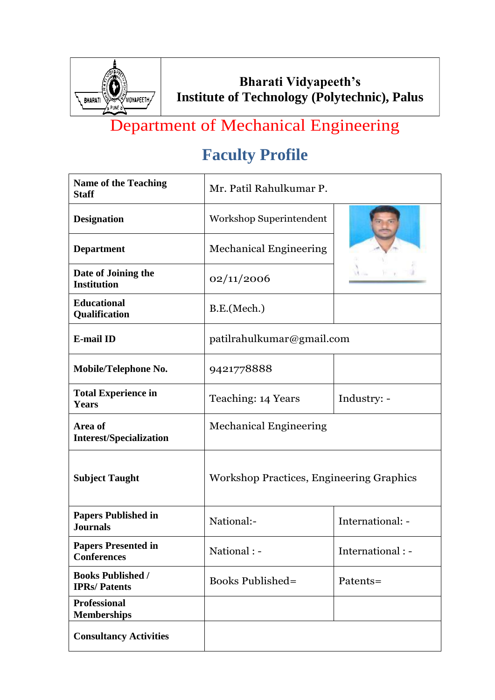

# Department of Mechanical Engineering

| <b>Name of the Teaching</b><br><b>Staff</b>      | Mr. Patil Rahulkumar P.                  |                   |
|--------------------------------------------------|------------------------------------------|-------------------|
| <b>Designation</b>                               | <b>Workshop Superintendent</b>           |                   |
| <b>Department</b>                                | <b>Mechanical Engineering</b>            |                   |
| Date of Joining the<br><b>Institution</b>        | 02/11/2006                               |                   |
| <b>Educational</b><br>Qualification              | B.E.(Mech.)                              |                   |
| <b>E-mail ID</b>                                 | patilrahulkumar@gmail.com                |                   |
| Mobile/Telephone No.                             | 9421778888                               |                   |
| <b>Total Experience in</b><br><b>Years</b>       | Teaching: 14 Years                       | Industry: -       |
| Area of<br><b>Interest/Specialization</b>        | <b>Mechanical Engineering</b>            |                   |
| <b>Subject Taught</b>                            | Workshop Practices, Engineering Graphics |                   |
| <b>Papers Published in</b><br><b>Journals</b>    | National:-                               | International: -  |
| <b>Papers Presented in</b><br><b>Conferences</b> | National : -                             | International : - |
| <b>Books Published /</b><br><b>IPRs/Patents</b>  | <b>Books Published=</b>                  | Patents=          |
| <b>Professional</b><br><b>Memberships</b>        |                                          |                   |
| <b>Consultancy Activities</b>                    |                                          |                   |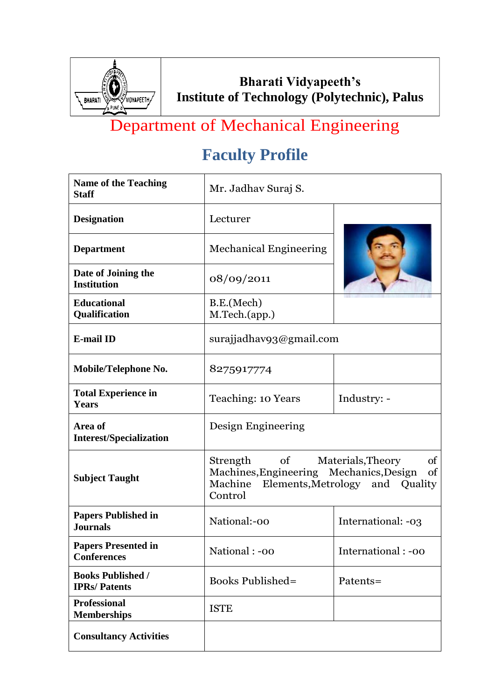

# Department of Mechanical Engineering

| <b>Name of the Teaching</b><br><b>Staff</b>      | Mr. Jadhav Suraj S.                                                          |                                                                  |
|--------------------------------------------------|------------------------------------------------------------------------------|------------------------------------------------------------------|
| <b>Designation</b>                               | Lecturer                                                                     |                                                                  |
| <b>Department</b>                                | <b>Mechanical Engineering</b>                                                |                                                                  |
| Date of Joining the<br><b>Institution</b>        | 08/09/2011                                                                   |                                                                  |
| <b>Educational</b><br>Qualification              | B.E.(Mech)<br>M.Tech.(app.)                                                  |                                                                  |
| <b>E-mail ID</b>                                 | surajjadhav93@gmail.com                                                      |                                                                  |
| Mobile/Telephone No.                             | 8275917774                                                                   |                                                                  |
| <b>Total Experience in</b><br><b>Years</b>       | Teaching: 10 Years                                                           | Industry: -                                                      |
| Area of<br><b>Interest/Specialization</b>        | Design Engineering                                                           |                                                                  |
| <b>Subject Taught</b>                            | Strength of<br>Machines, Engineering Mechanics, Design<br>Machine<br>Control | Materials, Theory<br>of<br>of<br>Elements, Metrology and Quality |
| <b>Papers Published in</b><br><b>Journals</b>    | National:-00                                                                 | International: -03                                               |
| <b>Papers Presented in</b><br><b>Conferences</b> | National: -00                                                                | International : -00                                              |
| <b>Books Published /</b><br><b>IPRs/Patents</b>  | <b>Books Published=</b>                                                      | Patents=                                                         |
| <b>Professional</b><br><b>Memberships</b>        | <b>ISTE</b>                                                                  |                                                                  |
| <b>Consultancy Activities</b>                    |                                                                              |                                                                  |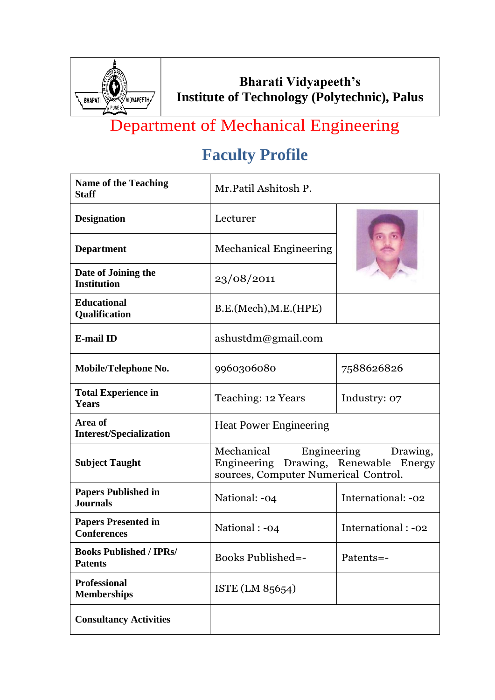

# Department of Mechanical Engineering

| <b>Name of the Teaching</b><br><b>Staff</b>      | Mr.Patil Ashitosh P.                                                                                                   |                     |
|--------------------------------------------------|------------------------------------------------------------------------------------------------------------------------|---------------------|
| <b>Designation</b>                               | Lecturer                                                                                                               |                     |
| <b>Department</b>                                | <b>Mechanical Engineering</b>                                                                                          |                     |
| Date of Joining the<br><b>Institution</b>        | 23/08/2011                                                                                                             |                     |
| <b>Educational</b><br>Qualification              | B.E.(Mech), M.E.(HPE)                                                                                                  |                     |
| <b>E-mail ID</b>                                 | $a$ shustdm@gmail.com                                                                                                  |                     |
| Mobile/Telephone No.                             | 9960306080                                                                                                             | 7588626826          |
| <b>Total Experience in</b><br><b>Years</b>       | Teaching: 12 Years                                                                                                     | Industry: 07        |
| Area of<br><b>Interest/Specialization</b>        | <b>Heat Power Engineering</b>                                                                                          |                     |
| <b>Subject Taught</b>                            | Mechanical<br>Engineering<br>Drawing,<br>Engineering Drawing, Renewable Energy<br>sources, Computer Numerical Control. |                     |
| <b>Papers Published in</b><br><b>Journals</b>    | National: -04                                                                                                          | International: -02  |
| <b>Papers Presented in</b><br><b>Conferences</b> | National : -04                                                                                                         | International : -02 |
| <b>Books Published / IPRs/</b><br><b>Patents</b> | Books Published=-                                                                                                      | Patents=-           |
| <b>Professional</b><br><b>Memberships</b>        | ISTE (LM 85654)                                                                                                        |                     |
| <b>Consultancy Activities</b>                    |                                                                                                                        |                     |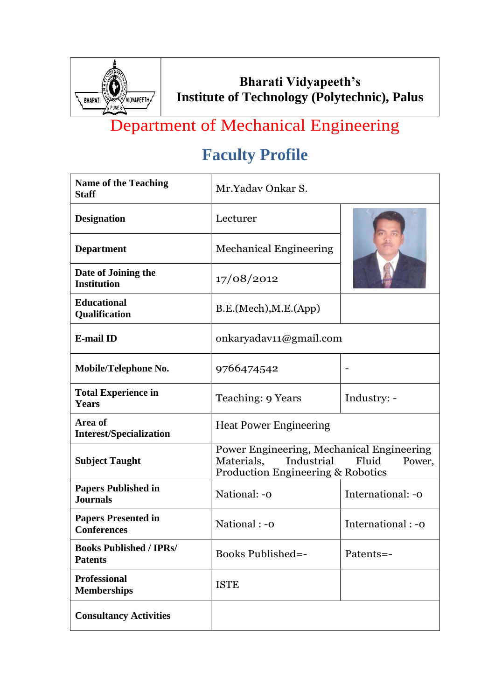

# Department of Mechanical Engineering

| <b>Name of the Teaching</b><br><b>Staff</b>      | Mr.Yaday Onkar S.                                                                                                                        |                    |
|--------------------------------------------------|------------------------------------------------------------------------------------------------------------------------------------------|--------------------|
| <b>Designation</b>                               | Lecturer                                                                                                                                 |                    |
| <b>Department</b>                                | <b>Mechanical Engineering</b>                                                                                                            |                    |
| Date of Joining the<br><b>Institution</b>        | 17/08/2012                                                                                                                               |                    |
| <b>Educational</b><br>Qualification              | B.E.(Mech), M.E.(App)                                                                                                                    |                    |
| <b>E-mail ID</b>                                 | onkaryadav11@gmail.com                                                                                                                   |                    |
| Mobile/Telephone No.                             | 9766474542                                                                                                                               |                    |
| <b>Total Experience in</b><br>Years              | Teaching: 9 Years                                                                                                                        | Industry: -        |
| Area of<br><b>Interest/Specialization</b>        | <b>Heat Power Engineering</b>                                                                                                            |                    |
| <b>Subject Taught</b>                            | Power Engineering, Mechanical Engineering<br>Industrial<br>Fluid<br>Materials,<br>Power,<br><b>Production Engineering &amp; Robotics</b> |                    |
| <b>Papers Published in</b><br><b>Journals</b>    | National: -0                                                                                                                             | International: -0  |
| <b>Papers Presented in</b><br><b>Conferences</b> | National: -0                                                                                                                             | International : -0 |
| <b>Books Published / IPRs/</b><br><b>Patents</b> | <b>Books Published=-</b>                                                                                                                 | Patents=-          |
| <b>Professional</b><br><b>Memberships</b>        | <b>ISTE</b>                                                                                                                              |                    |
| <b>Consultancy Activities</b>                    |                                                                                                                                          |                    |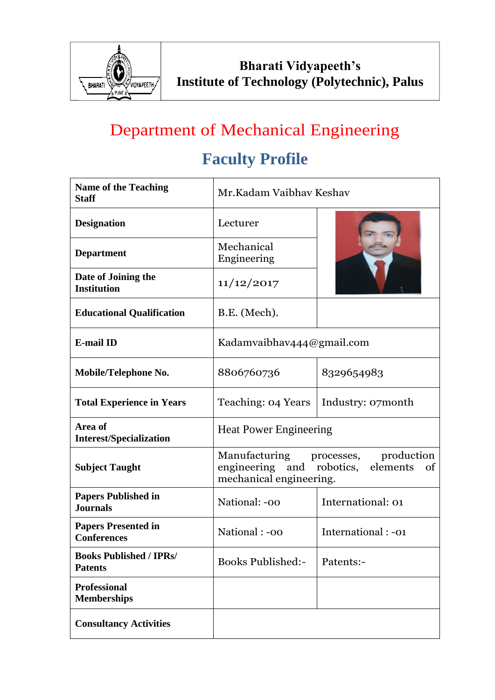

## Department of Mechanical Engineering

| <b>Name of the Teaching</b><br><b>Staff</b>      | Mr.Kadam Vaibhay Keshay                                                                                       |                    |
|--------------------------------------------------|---------------------------------------------------------------------------------------------------------------|--------------------|
| <b>Designation</b>                               | Lecturer                                                                                                      |                    |
| <b>Department</b>                                | Mechanical<br>Engineering                                                                                     |                    |
| Date of Joining the<br><b>Institution</b>        | 11/12/2017                                                                                                    |                    |
| <b>Educational Qualification</b>                 | B.E. (Mech).                                                                                                  |                    |
| <b>E-mail ID</b>                                 | Kadamvaibhav444@gmail.com                                                                                     |                    |
| Mobile/Telephone No.                             | 8806760736                                                                                                    | 8329654983         |
| <b>Total Experience in Years</b>                 | Teaching: 04 Years                                                                                            | Industry: 07month  |
| Area of<br><b>Interest/Specialization</b>        | <b>Heat Power Engineering</b>                                                                                 |                    |
| <b>Subject Taught</b>                            | Manufacturing processes, production<br>engineering and robotics,<br>elements<br>of<br>mechanical engineering. |                    |
| <b>Papers Published in</b><br><b>Journals</b>    | National: -00                                                                                                 | International: 01  |
| <b>Papers Presented in</b><br><b>Conferences</b> | National : -00                                                                                                | International: -01 |
| <b>Books Published / IPRs/</b><br><b>Patents</b> | <b>Books Published:-</b>                                                                                      | Patents:-          |
| <b>Professional</b><br><b>Memberships</b>        |                                                                                                               |                    |
| <b>Consultancy Activities</b>                    |                                                                                                               |                    |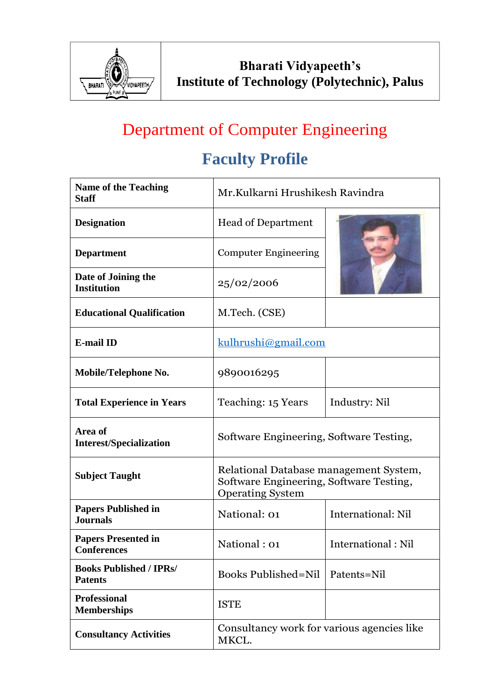

# Department of Computer Engineering

| <b>Name of the Teaching</b><br><b>Staff</b>      | Mr.Kulkarni Hrushikesh Ravindra                                                                              |                           |
|--------------------------------------------------|--------------------------------------------------------------------------------------------------------------|---------------------------|
| <b>Designation</b>                               | <b>Head of Department</b>                                                                                    |                           |
| <b>Department</b>                                | <b>Computer Engineering</b>                                                                                  |                           |
| Date of Joining the<br><b>Institution</b>        | 25/02/2006                                                                                                   |                           |
| <b>Educational Qualification</b>                 | M.Tech. (CSE)                                                                                                |                           |
| <b>E-mail ID</b>                                 | kulhrushi@gmail.com                                                                                          |                           |
| Mobile/Telephone No.                             | 9890016295                                                                                                   |                           |
| <b>Total Experience in Years</b>                 | Teaching: 15 Years                                                                                           | Industry: Nil             |
| Area of<br><b>Interest/Specialization</b>        | Software Engineering, Software Testing,                                                                      |                           |
| <b>Subject Taught</b>                            | Relational Database management System,<br>Software Engineering, Software Testing,<br><b>Operating System</b> |                           |
| <b>Papers Published in</b><br><b>Journals</b>    | National: 01                                                                                                 | <b>International: Nil</b> |
| <b>Papers Presented in</b><br><b>Conferences</b> | National: 01                                                                                                 | International: Nil        |
| <b>Books Published / IPRs/</b><br><b>Patents</b> | <b>Books Published=Nil</b>                                                                                   | Patents=Nil               |
| <b>Professional</b><br><b>Memberships</b>        | <b>ISTE</b>                                                                                                  |                           |
| <b>Consultancy Activities</b>                    | Consultancy work for various agencies like<br>MKCL.                                                          |                           |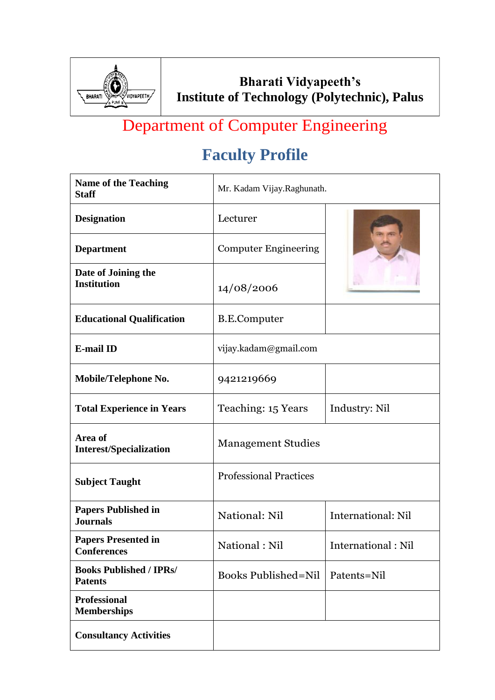

# Department of Computer Engineering

| <b>Name of the Teaching</b><br><b>Staff</b>      | Mr. Kadam Vijay.Raghunath.    |                           |
|--------------------------------------------------|-------------------------------|---------------------------|
| <b>Designation</b>                               | Lecturer                      |                           |
| <b>Department</b>                                | <b>Computer Engineering</b>   |                           |
| Date of Joining the<br><b>Institution</b>        | 14/08/2006                    |                           |
| <b>Educational Qualification</b>                 | B.E.Computer                  |                           |
| <b>E-mail ID</b>                                 | vijay.kadam@gmail.com         |                           |
| Mobile/Telephone No.                             | 9421219669                    |                           |
| <b>Total Experience in Years</b>                 | Teaching: 15 Years            | Industry: Nil             |
| Area of<br><b>Interest/Specialization</b>        | <b>Management Studies</b>     |                           |
| <b>Subject Taught</b>                            | <b>Professional Practices</b> |                           |
| <b>Papers Published in</b><br><b>Journals</b>    | National: Nil                 | <b>International: Nil</b> |
| <b>Papers Presented in</b><br><b>Conferences</b> | National: Nil                 | International : Nil       |
| <b>Books Published / IPRs/</b><br><b>Patents</b> | <b>Books Published=Nil</b>    | Patents=Nil               |
| <b>Professional</b><br><b>Memberships</b>        |                               |                           |
| <b>Consultancy Activities</b>                    |                               |                           |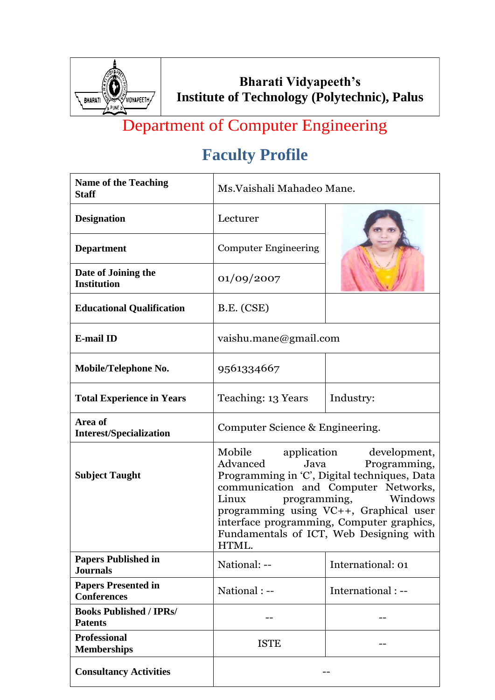

# Department of Computer Engineering

| <b>Name of the Teaching</b><br><b>Staff</b>      | Ms. Vaishali Mahadeo Mane.                                                                                                                                                                                                                                                                                                                 |                    |
|--------------------------------------------------|--------------------------------------------------------------------------------------------------------------------------------------------------------------------------------------------------------------------------------------------------------------------------------------------------------------------------------------------|--------------------|
| <b>Designation</b>                               | Lecturer                                                                                                                                                                                                                                                                                                                                   |                    |
| <b>Department</b>                                | <b>Computer Engineering</b>                                                                                                                                                                                                                                                                                                                |                    |
| Date of Joining the<br><b>Institution</b>        | 01/09/2007                                                                                                                                                                                                                                                                                                                                 |                    |
| <b>Educational Qualification</b>                 | B.E. (CSE)                                                                                                                                                                                                                                                                                                                                 |                    |
| <b>E-mail ID</b>                                 | vaishu.mane@gmail.com                                                                                                                                                                                                                                                                                                                      |                    |
| Mobile/Telephone No.                             | 9561334667                                                                                                                                                                                                                                                                                                                                 |                    |
| <b>Total Experience in Years</b>                 | Teaching: 13 Years                                                                                                                                                                                                                                                                                                                         | Industry:          |
| Area of<br><b>Interest/Specialization</b>        | Computer Science & Engineering.                                                                                                                                                                                                                                                                                                            |                    |
| <b>Subject Taught</b>                            | Mobile application development,<br>Advanced<br>Java<br>Programming,<br>Programming in 'C', Digital techniques, Data<br>communication and Computer Networks,<br>Linux<br>programming,<br>Windows<br>programming using VC++, Graphical user<br>interface programming, Computer graphics,<br>Fundamentals of ICT, Web Designing with<br>HTML. |                    |
| <b>Papers Published in</b><br><b>Journals</b>    | National: --                                                                                                                                                                                                                                                                                                                               | International: 01  |
| <b>Papers Presented in</b><br><b>Conferences</b> | National : --                                                                                                                                                                                                                                                                                                                              | International : -- |
| <b>Books Published / IPRs/</b><br><b>Patents</b> |                                                                                                                                                                                                                                                                                                                                            |                    |
| <b>Professional</b><br><b>Memberships</b>        | <b>ISTE</b>                                                                                                                                                                                                                                                                                                                                |                    |
| <b>Consultancy Activities</b>                    |                                                                                                                                                                                                                                                                                                                                            |                    |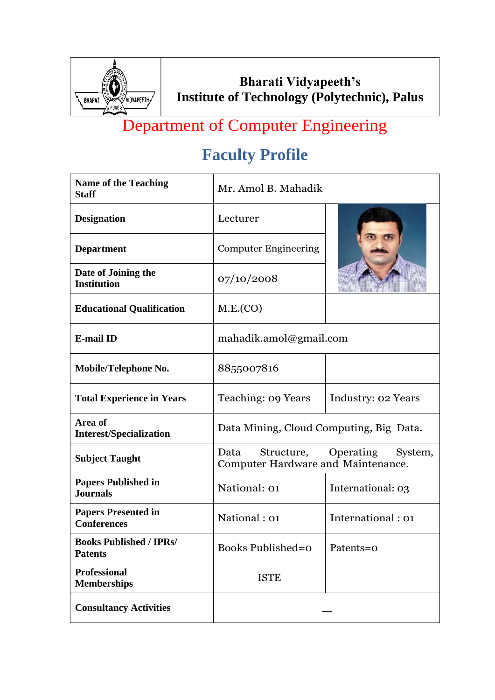

# Department of Computer Engineering

| <b>Name of the Teaching</b><br><b>Staff</b>      | Mr. Amol B. Mahadik                        |                                 |
|--------------------------------------------------|--------------------------------------------|---------------------------------|
| <b>Designation</b>                               | Lecturer                                   |                                 |
| <b>Department</b>                                | <b>Computer Engineering</b>                |                                 |
| Date of Joining the<br><b>Institution</b>        | 07/10/2008                                 |                                 |
| <b>Educational Qualification</b>                 | M.E.(CO)                                   |                                 |
| <b>E-mail ID</b>                                 | mahadik.amol@gmail.com                     |                                 |
| Mobile/Telephone No.                             | 8855007816                                 |                                 |
| <b>Total Experience in Years</b>                 | Teaching: 09 Years                         | Industry: 02 Years              |
| Area of<br><b>Interest/Specialization</b>        | Data Mining, Cloud Computing, Big Data.    |                                 |
| <b>Subject Taught</b>                            | Data<br>Computer Hardware and Maintenance. | Structure, Operating<br>System, |
| <b>Papers Published in</b><br><b>Journals</b>    | National: 01                               | International: 03               |
| <b>Papers Presented in</b><br><b>Conferences</b> | National: 01                               | International: 01               |
| <b>Books Published / IPRs/</b><br><b>Patents</b> | <b>Books Published=0</b>                   | Patents=0                       |
| <b>Professional</b><br><b>Memberships</b>        | <b>ISTE</b>                                |                                 |
| <b>Consultancy Activities</b>                    |                                            |                                 |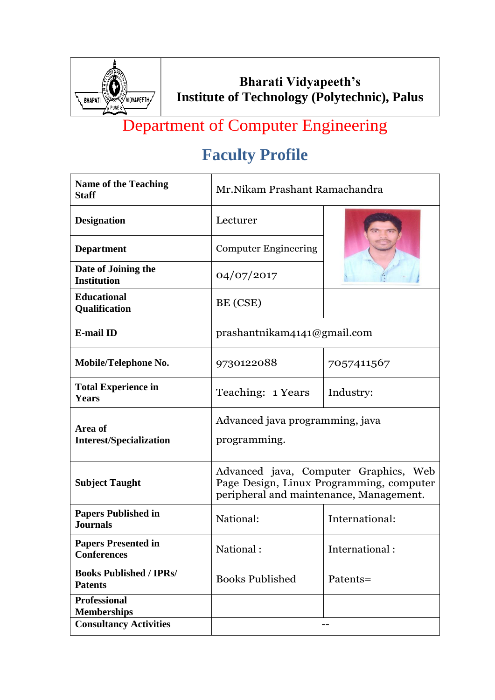

# Department of Computer Engineering

| <b>Name of the Teaching</b><br><b>Staff</b>      | Mr. Nikam Prashant Ramachandra                                                                                               |                |
|--------------------------------------------------|------------------------------------------------------------------------------------------------------------------------------|----------------|
| <b>Designation</b>                               | Lecturer                                                                                                                     |                |
| <b>Department</b>                                | <b>Computer Engineering</b>                                                                                                  |                |
| Date of Joining the<br><b>Institution</b>        | 04/07/2017                                                                                                                   |                |
| <b>Educational</b><br>Qualification              | BE (CSE)                                                                                                                     |                |
| <b>E-mail ID</b>                                 | prashantnikam4141@gmail.com                                                                                                  |                |
| Mobile/Telephone No.                             | 9730122088                                                                                                                   | 7057411567     |
| <b>Total Experience in</b><br><b>Years</b>       | Teaching: 1 Years                                                                                                            | Industry:      |
| Area of<br><b>Interest/Specialization</b>        | Advanced java programming, java<br>programming.                                                                              |                |
| <b>Subject Taught</b>                            | Advanced java, Computer Graphics, Web<br>Page Design, Linux Programming, computer<br>peripheral and maintenance, Management. |                |
| <b>Papers Published in</b><br><b>Journals</b>    | National:                                                                                                                    | International: |
| <b>Papers Presented in</b><br><b>Conferences</b> | National:                                                                                                                    | International: |
| <b>Books Published / IPRs/</b><br><b>Patents</b> | <b>Books Published</b>                                                                                                       | Patents=       |
| <b>Professional</b><br><b>Memberships</b>        |                                                                                                                              |                |
| <b>Consultancy Activities</b>                    |                                                                                                                              | --             |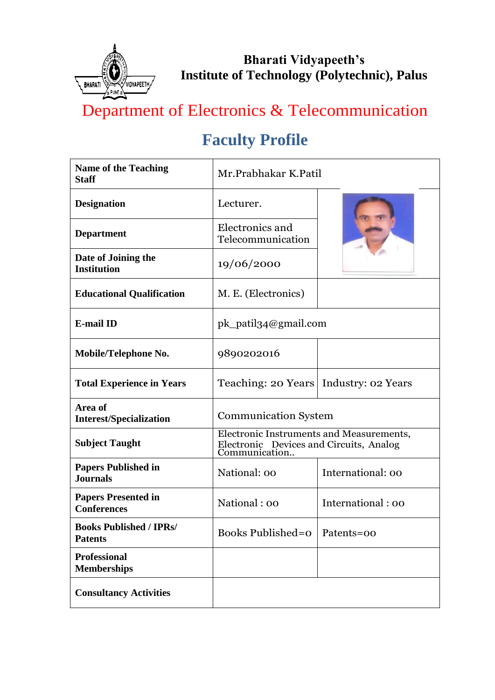

# Department of Electronics & Telecommunication

| <b>Name of the Teaching</b><br><b>Staff</b>      | Mr.Prabhakar K.Patil                                                                                 |                    |
|--------------------------------------------------|------------------------------------------------------------------------------------------------------|--------------------|
| <b>Designation</b>                               | Lecturer.                                                                                            |                    |
| <b>Department</b>                                | Electronics and<br>Telecommunication                                                                 |                    |
| Date of Joining the<br><b>Institution</b>        | 19/06/2000                                                                                           |                    |
| <b>Educational Qualification</b>                 | M. E. (Electronics)                                                                                  |                    |
| <b>E-mail ID</b>                                 | pk_patil34@gmail.com                                                                                 |                    |
| Mobile/Telephone No.                             | 9890202016                                                                                           |                    |
| <b>Total Experience in Years</b>                 | Teaching: 20 Years                                                                                   | Industry: 02 Years |
| Area of<br><b>Interest/Specialization</b>        | <b>Communication System</b>                                                                          |                    |
| <b>Subject Taught</b>                            | Electronic Instruments and Measurements,<br>Electronic Devices and Circuits, Analog<br>Communication |                    |
| <b>Papers Published in</b><br><b>Journals</b>    | National: 00                                                                                         | International: 00  |
| <b>Papers Presented in</b><br><b>Conferences</b> | National: 00                                                                                         | International: 00  |
| <b>Books Published / IPRs/</b><br><b>Patents</b> | Books Published=o   Patents=00                                                                       |                    |
| <b>Professional</b><br><b>Memberships</b>        |                                                                                                      |                    |
| <b>Consultancy Activities</b>                    |                                                                                                      |                    |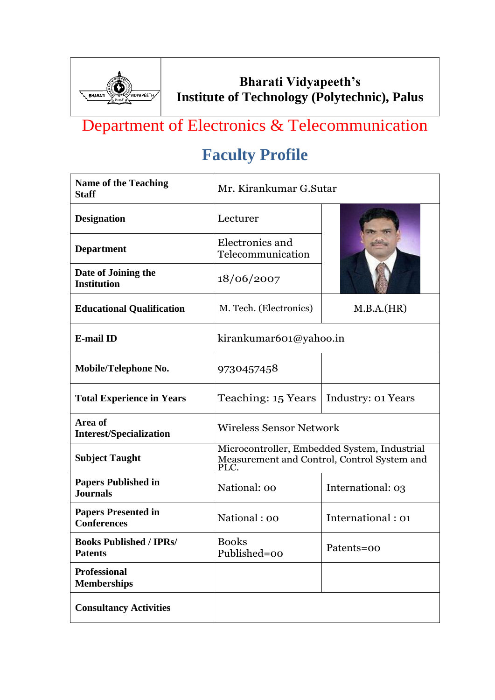

### Department of Electronics & Telecommunication

| <b>Name of the Teaching</b><br><b>Staff</b>      | Mr. Kirankumar G.Sutar                                                                              |                    |
|--------------------------------------------------|-----------------------------------------------------------------------------------------------------|--------------------|
| <b>Designation</b>                               | Lecturer                                                                                            |                    |
| <b>Department</b>                                | Electronics and<br>Telecommunication                                                                |                    |
| Date of Joining the<br><b>Institution</b>        | 18/06/2007                                                                                          |                    |
| <b>Educational Qualification</b>                 | M. Tech. (Electronics)                                                                              | M.B.A.(HR)         |
| <b>E-mail ID</b>                                 | kirankumar601@yahoo.in                                                                              |                    |
| Mobile/Telephone No.                             | 9730457458                                                                                          |                    |
| <b>Total Experience in Years</b>                 | Teaching: 15 Years                                                                                  | Industry: 01 Years |
| Area of<br><b>Interest/Specialization</b>        | <b>Wireless Sensor Network</b>                                                                      |                    |
| <b>Subject Taught</b>                            | Microcontroller, Embedded System, Industrial<br>Measurement and Control, Control System and<br>PLC. |                    |
| <b>Papers Published in</b><br><b>Journals</b>    | National: 00                                                                                        | International: 03  |
| <b>Papers Presented in</b><br><b>Conferences</b> | National: 00                                                                                        | International: 01  |
| <b>Books Published / IPRs/</b><br><b>Patents</b> | <b>Books</b><br>Published=00                                                                        | Patents=00         |
| <b>Professional</b><br><b>Memberships</b>        |                                                                                                     |                    |
| <b>Consultancy Activities</b>                    |                                                                                                     |                    |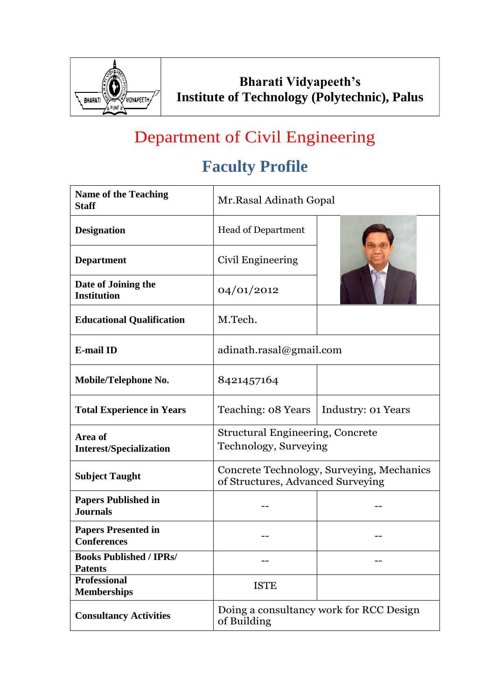

## Department of Civil Engineering

| <b>Name of the Teaching</b><br><b>Staff</b>      | Mr. Rasal Adinath Gopal                                                        |                    |
|--------------------------------------------------|--------------------------------------------------------------------------------|--------------------|
| <b>Designation</b>                               | <b>Head of Department</b>                                                      |                    |
| <b>Department</b>                                | Civil Engineering                                                              |                    |
| Date of Joining the<br><b>Institution</b>        | 04/01/2012                                                                     |                    |
| <b>Educational Qualification</b>                 | M.Tech.                                                                        |                    |
| <b>E-mail ID</b>                                 | adinath.rasal@gmail.com                                                        |                    |
| Mobile/Telephone No.                             | 8421457164                                                                     |                    |
| <b>Total Experience in Years</b>                 | Teaching: 08 Years                                                             | Industry: 01 Years |
| Area of<br><b>Interest/Specialization</b>        | <b>Structural Engineering, Concrete</b><br>Technology, Surveying               |                    |
| <b>Subject Taught</b>                            | Concrete Technology, Surveying, Mechanics<br>of Structures, Advanced Surveying |                    |
| <b>Papers Published in</b><br><b>Journals</b>    |                                                                                |                    |
| <b>Papers Presented in</b><br><b>Conferences</b> |                                                                                |                    |
| <b>Books Published / IPRs/</b><br><b>Patents</b> |                                                                                |                    |
| <b>Professional</b><br><b>Memberships</b>        | <b>ISTE</b>                                                                    |                    |
| <b>Consultancy Activities</b>                    | Doing a consultancy work for RCC Design<br>of Building                         |                    |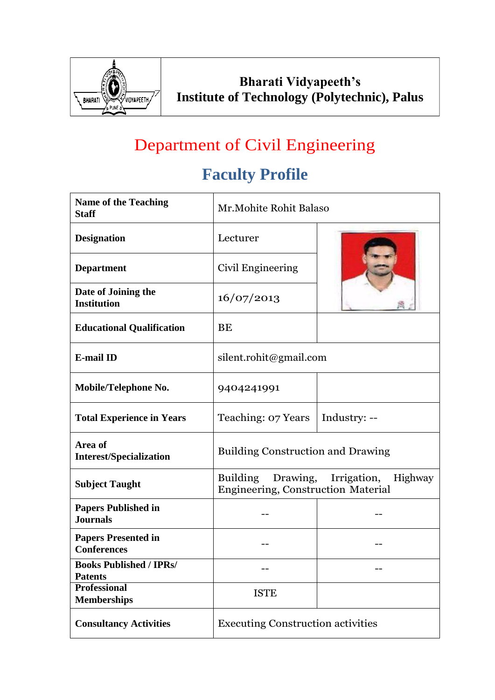

# Department of Civil Engineering

| <b>Name of the Teaching</b><br><b>Staff</b>      | Mr. Mohite Rohit Balaso                                                           |              |
|--------------------------------------------------|-----------------------------------------------------------------------------------|--------------|
| <b>Designation</b>                               | Lecturer                                                                          |              |
| <b>Department</b>                                | Civil Engineering                                                                 |              |
| Date of Joining the<br><b>Institution</b>        | 16/07/2013                                                                        |              |
| <b>Educational Qualification</b>                 | BE                                                                                |              |
| <b>E-mail ID</b>                                 | silent.rohit@gmail.com                                                            |              |
| Mobile/Telephone No.                             | 9404241991                                                                        |              |
| <b>Total Experience in Years</b>                 | Teaching: 07 Years                                                                | Industry: -- |
| Area of<br><b>Interest/Specialization</b>        | <b>Building Construction and Drawing</b>                                          |              |
| <b>Subject Taught</b>                            | Building<br>Drawing, Irrigation,<br>Highway<br>Engineering, Construction Material |              |
| <b>Papers Published in</b><br><b>Journals</b>    |                                                                                   |              |
| <b>Papers Presented in</b><br><b>Conferences</b> |                                                                                   |              |
| <b>Books Published / IPRs/</b><br><b>Patents</b> |                                                                                   |              |
| <b>Professional</b><br><b>Memberships</b>        | <b>ISTE</b>                                                                       |              |
| <b>Consultancy Activities</b>                    | <b>Executing Construction activities</b>                                          |              |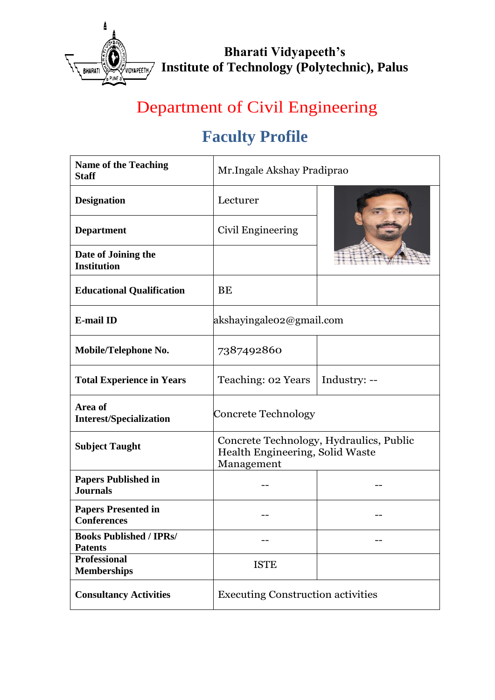

# Department of Civil Engineering

| <b>Name of the Teaching</b><br><b>Staff</b>      | Mr.Ingale Akshay Pradiprao                                                               |              |
|--------------------------------------------------|------------------------------------------------------------------------------------------|--------------|
| <b>Designation</b>                               | Lecturer                                                                                 |              |
| <b>Department</b>                                | Civil Engineering                                                                        |              |
| Date of Joining the<br><b>Institution</b>        |                                                                                          |              |
| <b>Educational Qualification</b>                 | <b>BE</b>                                                                                |              |
| <b>E-mail ID</b>                                 | akshayingaleo2@gmail.com                                                                 |              |
| Mobile/Telephone No.                             | 7387492860                                                                               |              |
| <b>Total Experience in Years</b>                 | <b>Teaching: 02 Years</b>                                                                | Industry: -- |
| Area of<br><b>Interest/Specialization</b>        | Concrete Technology                                                                      |              |
| <b>Subject Taught</b>                            | Concrete Technology, Hydraulics, Public<br>Health Engineering, Solid Waste<br>Management |              |
| <b>Papers Published in</b><br><b>Journals</b>    |                                                                                          |              |
| <b>Papers Presented in</b><br><b>Conferences</b> |                                                                                          |              |
| <b>Books Published / IPRs/</b><br><b>Patents</b> |                                                                                          |              |
| <b>Professional</b><br><b>Memberships</b>        | <b>ISTE</b>                                                                              |              |
| <b>Consultancy Activities</b>                    | <b>Executing Construction activities</b>                                                 |              |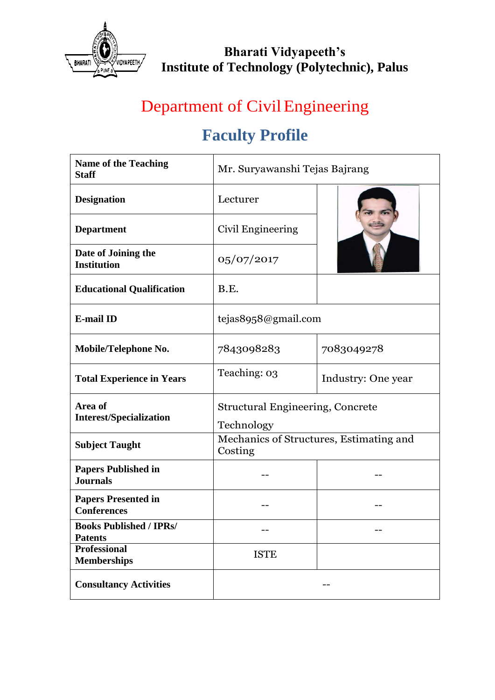

### Department of Civil Engineering

| <b>Name of the Teaching</b><br><b>Staff</b>      | Mr. Suryawanshi Tejas Bajrang                         |                                         |
|--------------------------------------------------|-------------------------------------------------------|-----------------------------------------|
| <b>Designation</b>                               | Lecturer                                              |                                         |
| <b>Department</b>                                | Civil Engineering                                     |                                         |
| Date of Joining the<br><b>Institution</b>        | 05/07/2017                                            |                                         |
| <b>Educational Qualification</b>                 | B.E.                                                  |                                         |
| <b>E-mail ID</b>                                 | tejas8958@gmail.com                                   |                                         |
| Mobile/Telephone No.                             | 7843098283                                            | 7083049278                              |
| <b>Total Experience in Years</b>                 | Teaching: 03                                          | Industry: One year                      |
| Area of<br><b>Interest/Specialization</b>        | <b>Structural Engineering, Concrete</b><br>Technology |                                         |
| <b>Subject Taught</b>                            | Costing                                               | Mechanics of Structures, Estimating and |
| <b>Papers Published in</b><br><b>Journals</b>    |                                                       |                                         |
| <b>Papers Presented in</b><br><b>Conferences</b> |                                                       |                                         |
| <b>Books Published / IPRs/</b><br><b>Patents</b> |                                                       |                                         |
| <b>Professional</b><br><b>Memberships</b>        | <b>ISTE</b>                                           |                                         |
| <b>Consultancy Activities</b>                    |                                                       |                                         |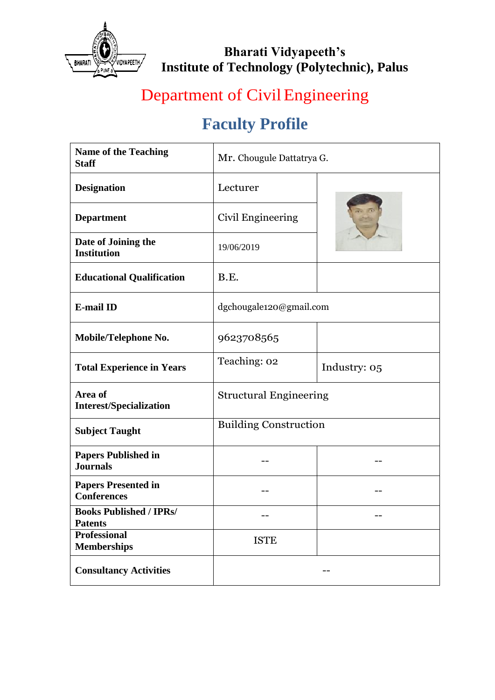

# Department of Civil Engineering

| <b>Name of the Teaching</b><br><b>Staff</b>      | Mr. Chougule Dattatrya G.     |              |
|--------------------------------------------------|-------------------------------|--------------|
| <b>Designation</b>                               | Lecturer                      |              |
| <b>Department</b>                                | Civil Engineering             |              |
| Date of Joining the<br><b>Institution</b>        | 19/06/2019                    |              |
| <b>Educational Qualification</b>                 | B.E.                          |              |
| <b>E-mail ID</b>                                 | dgchougale120@gmail.com       |              |
| Mobile/Telephone No.                             | 9623708565                    |              |
| <b>Total Experience in Years</b>                 | Teaching: 02                  | Industry: 05 |
| Area of<br><b>Interest/Specialization</b>        | <b>Structural Engineering</b> |              |
| <b>Subject Taught</b>                            | <b>Building Construction</b>  |              |
| <b>Papers Published in</b><br><b>Journals</b>    |                               |              |
| <b>Papers Presented in</b><br><b>Conferences</b> |                               |              |
| <b>Books Published / IPRs/</b><br><b>Patents</b> |                               |              |
| <b>Professional</b><br><b>Memberships</b>        | <b>ISTE</b>                   |              |
| <b>Consultancy Activities</b>                    |                               |              |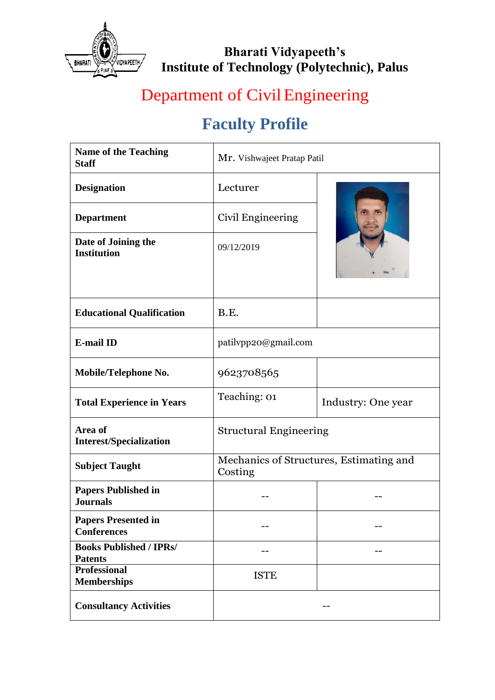

# Department of Civil Engineering

| <b>Name of the Teaching</b><br><b>Staff</b>      | Mr. Vishwajeet Pratap Patil                        |                    |
|--------------------------------------------------|----------------------------------------------------|--------------------|
| <b>Designation</b>                               | Lecturer                                           |                    |
| <b>Department</b>                                | Civil Engineering                                  |                    |
| Date of Joining the<br><b>Institution</b>        | 09/12/2019                                         |                    |
| <b>Educational Qualification</b>                 | B.E.                                               |                    |
| <b>E-mail ID</b>                                 | patilvpp20@gmail.com                               |                    |
| Mobile/Telephone No.                             | 9623708565                                         |                    |
|                                                  |                                                    |                    |
| <b>Total Experience in Years</b>                 | Teaching: 01                                       | Industry: One year |
| Area of<br><b>Interest/Specialization</b>        | <b>Structural Engineering</b>                      |                    |
| <b>Subject Taught</b>                            | Mechanics of Structures, Estimating and<br>Costing |                    |
| <b>Papers Published in</b><br><b>Journals</b>    |                                                    |                    |
| <b>Papers Presented in</b><br><b>Conferences</b> |                                                    |                    |
| <b>Books Published / IPRs/</b><br><b>Patents</b> |                                                    |                    |
| <b>Professional</b><br><b>Memberships</b>        | <b>ISTE</b>                                        |                    |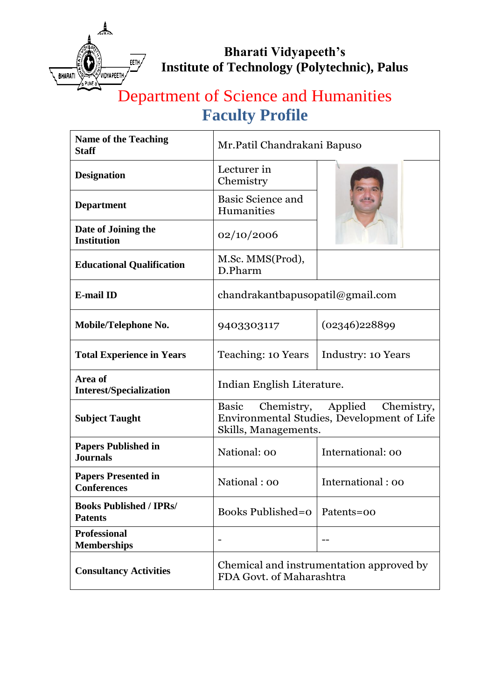

## Department of Science and Humanities **Faculty Profile**

| <b>Name of the Teaching</b><br><b>Staff</b>      | Mr. Patil Chandrakani Bapuso                                                                                              |                    |
|--------------------------------------------------|---------------------------------------------------------------------------------------------------------------------------|--------------------|
| <b>Designation</b>                               | Lecturer in<br>Chemistry                                                                                                  |                    |
| <b>Department</b>                                | <b>Basic Science and</b><br>Humanities                                                                                    |                    |
| Date of Joining the<br><b>Institution</b>        | 02/10/2006                                                                                                                |                    |
| <b>Educational Qualification</b>                 | M.Sc. MMS(Prod),<br>D.Pharm                                                                                               |                    |
| <b>E-mail ID</b>                                 | chandrakantbapusopatil@gmail.com                                                                                          |                    |
| Mobile/Telephone No.                             | 9403303117                                                                                                                | (02346)228899      |
| <b>Total Experience in Years</b>                 | Teaching: 10 Years                                                                                                        | Industry: 10 Years |
| Area of<br><b>Interest/Specialization</b>        | Indian English Literature.                                                                                                |                    |
| <b>Subject Taught</b>                            | <b>Basic</b><br>Chemistry,<br>Applied<br>Chemistry,<br>Environmental Studies, Development of Life<br>Skills, Managements. |                    |
| <b>Papers Published in</b><br><b>Journals</b>    | National: 00                                                                                                              | International: 00  |
| <b>Papers Presented in</b><br><b>Conferences</b> | National: 00                                                                                                              | International: 00  |
| <b>Books Published / IPRs/</b><br><b>Patents</b> | <b>Books Published=0</b>                                                                                                  | Patents=00         |
| <b>Professional</b><br><b>Memberships</b>        |                                                                                                                           |                    |
| <b>Consultancy Activities</b>                    | Chemical and instrumentation approved by<br>FDA Govt. of Maharashtra                                                      |                    |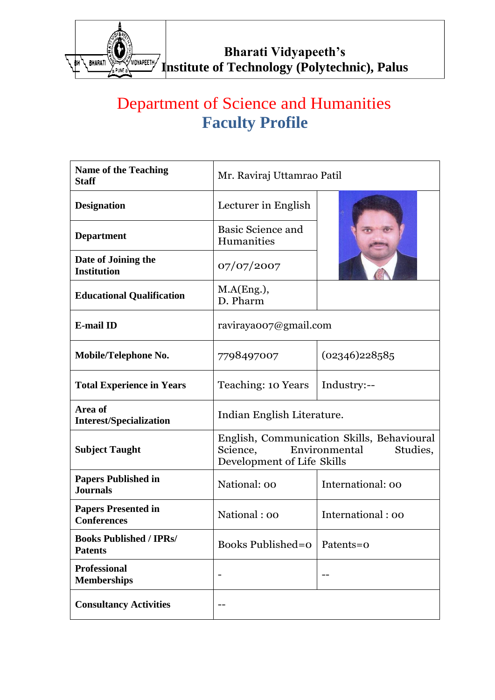

## Department of Science and Humanities **Faculty Profile**

| <b>Name of the Teaching</b><br><b>Staff</b>      | Mr. Raviraj Uttamrao Patil                                                                                        |                   |
|--------------------------------------------------|-------------------------------------------------------------------------------------------------------------------|-------------------|
| <b>Designation</b>                               | Lecturer in English                                                                                               |                   |
| <b>Department</b>                                | <b>Basic Science and</b><br>Humanities                                                                            |                   |
| Date of Joining the<br><b>Institution</b>        | 07/07/2007                                                                                                        |                   |
| <b>Educational Qualification</b>                 | M.A(Eng.),<br>D. Pharm                                                                                            |                   |
| <b>E-mail ID</b>                                 | raviraya007@gmail.com                                                                                             |                   |
| Mobile/Telephone No.                             | 7798497007                                                                                                        | (02346)228585     |
| <b>Total Experience in Years</b>                 | Teaching: 10 Years                                                                                                | Industry:--       |
| Area of<br><b>Interest/Specialization</b>        | Indian English Literature.                                                                                        |                   |
| <b>Subject Taught</b>                            | English, Communication Skills, Behavioural<br>Environmental<br>Studies,<br>Science,<br>Development of Life Skills |                   |
| <b>Papers Published in</b><br><b>Journals</b>    | National: 00                                                                                                      | International: 00 |
| <b>Papers Presented in</b><br><b>Conferences</b> | National: 00                                                                                                      | International: 00 |
| <b>Books Published / IPRs/</b><br><b>Patents</b> | <b>Books Published=0</b>                                                                                          | Patents=0         |
| <b>Professional</b><br><b>Memberships</b>        |                                                                                                                   |                   |
| <b>Consultancy Activities</b>                    |                                                                                                                   |                   |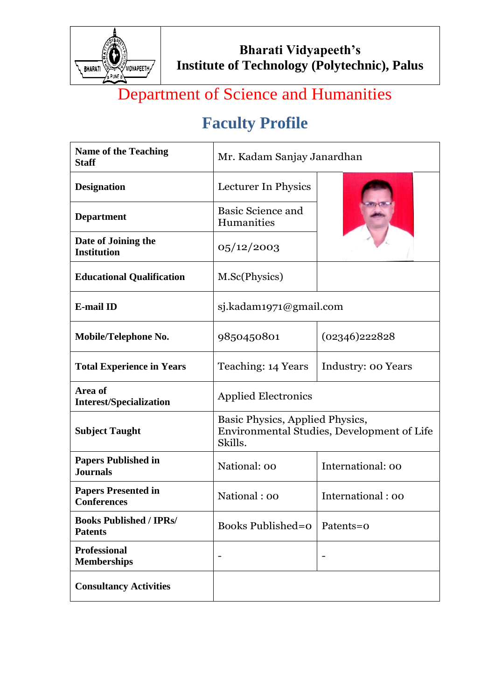

# Department of Science and Humanities

| <b>Name of the Teaching</b><br><b>Staff</b>      | Mr. Kadam Sanjay Janardhan                                                               |                    |
|--------------------------------------------------|------------------------------------------------------------------------------------------|--------------------|
| <b>Designation</b>                               | Lecturer In Physics                                                                      |                    |
| <b>Department</b>                                | Basic Science and<br>Humanities                                                          |                    |
| Date of Joining the<br><b>Institution</b>        | 05/12/2003                                                                               |                    |
| <b>Educational Qualification</b>                 | M.Sc(Physics)                                                                            |                    |
| <b>E-mail ID</b>                                 | sj.kadam1971@gmail.com                                                                   |                    |
| Mobile/Telephone No.                             | 9850450801                                                                               | (02346)222828      |
| <b>Total Experience in Years</b>                 | Teaching: 14 Years                                                                       | Industry: 00 Years |
| Area of<br><b>Interest/Specialization</b>        | <b>Applied Electronics</b>                                                               |                    |
| <b>Subject Taught</b>                            | Basic Physics, Applied Physics,<br>Environmental Studies, Development of Life<br>Skills. |                    |
| <b>Papers Published in</b><br><b>Journals</b>    | National: 00                                                                             | International: 00  |
| <b>Papers Presented in</b><br><b>Conferences</b> | National: 00                                                                             | International: 00  |
| <b>Books Published / IPRs/</b><br><b>Patents</b> | <b>Books Published=0</b>                                                                 | Patents=0          |
| <b>Professional</b><br><b>Memberships</b>        |                                                                                          |                    |
| <b>Consultancy Activities</b>                    |                                                                                          |                    |